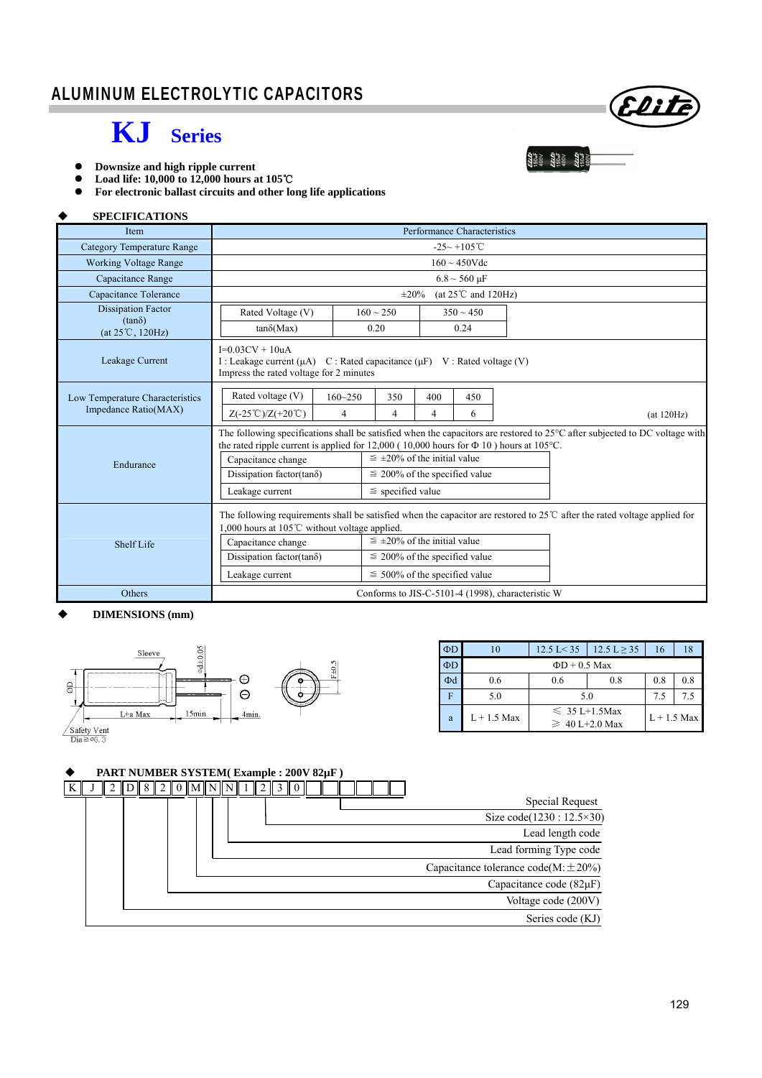# **KJ Series**



**and Se** 

- **Downsize and high ripple current**
- **Load life: 10,000 to 12,000 hours at 105**℃
- **For electronic ballast circuits and other long life applications**

#### (at 120Hz)  **SPECIFICATIONS**  Item Performance Characteristics Category Temperature Range  $-25 \sim +105$ ℃ Working Voltage Range 160 ~ 450Vdc Capacitance Range 6.8  $\sim$  560 μF Capacitance Tolerance  $\pm 20\%$  (at  $25^{\circ}$  c and 120Hz) Dissipation Factor (tanδ) (at 25℃, 120Hz) Rated Voltage (V)  $160 \approx 250$  350  $\approx 450$  $tan\delta(Max)$  0.20 0.24 Leakage Current  $I=0.03CV + 10uA$ I : Leakage current (μA)  $C$  : Rated capacitance (μF)  $V$  : Rated voltage (V) Impress the rated voltage for 2 minutes Low Temperature Characteristics Impedance Ratio(MAX) Endurance The following specifications shall be satisfied when the capacitors are restored to  $25^{\circ}$ C after subjected to DC voltage with the rated ripple current is applied for 12,000 ( 10,000 hours for  $\Phi$  10 ) hours at 105°C. Capacitance change  $\vert \leq \pm 20\%$  of the initial value Dissipation factor(tan $\delta$ )  $\leq$  200% of the specified value Leakage current  $\leq$  specified value Shelf Life The following requirements shall be satisfied when the capacitor are restored to 25℃ after the rated voltage applied for 1,000 hours at 105℃ without voltage applied. Capacitance change  $\vert \leq \pm 20\%$  of the initial value Dissipation factor(tan $\delta$ )  $\leq$  200% of the specified value Leakage current  $\leq 500\%$  of the specified value Others Conforms to JIS-C-5101-4 (1998), characteristic W Rated voltage (V) | 160~250 | 350 | 400 | 450  $Z(-25^{\circ}\text{C})/Z(+20^{\circ}\text{C})$  4 4 4 6

#### **DIMENSIONS (mm)**



| $\Phi$ D | 10                 | $12.5 \text{ L} < 35$                     | $12.5 L \ge 35$ | 16  | 18  |  |  |
|----------|--------------------|-------------------------------------------|-----------------|-----|-----|--|--|
| $\Phi$ D | $\Phi$ D + 0.5 Max |                                           |                 |     |     |  |  |
| Фd       | 0.6                | 0.6                                       | 0.8             | 0.8 | 0.8 |  |  |
| F        | 5.0                | 5.0                                       | 7.5             | 7.5 |     |  |  |
| a        | $L + 1.5$ Max      | $\leq 35$ L+1.5Max<br>$\geq 40$ L+2.0 Max | $L + 1.5$ Max   |     |     |  |  |

### **PART NUMBER SYSTEM( Example : 200V 82µF )**